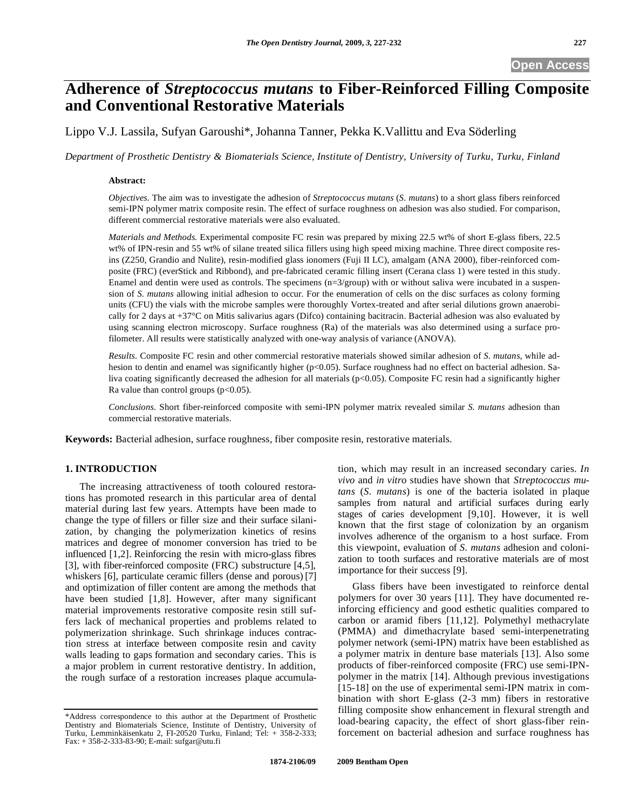# **Adherence of** *Streptococcus mutans* **to Fiber-Reinforced Filling Composite and Conventional Restorative Materials**

Lippo V.J. Lassila, Sufyan Garoushi\*, Johanna Tanner, Pekka K.Vallittu and Eva Söderling

*Department of Prosthetic Dentistry & Biomaterials Science, Institute of Dentistry, University of Turku, Turku, Finland* 

#### **Abstract:**

*Objectives.* The aim was to investigate the adhesion of *Streptococcus mutans* (*S. mutans*) to a short glass fibers reinforced semi-IPN polymer matrix composite resin. The effect of surface roughness on adhesion was also studied. For comparison, different commercial restorative materials were also evaluated.

*Materials and Methods.* Experimental composite FC resin was prepared by mixing 22.5 wt% of short E-glass fibers, 22.5 wt% of IPN-resin and 55 wt% of silane treated silica fillers using high speed mixing machine. Three direct composite resins (Z250, Grandio and Nulite), resin-modified glass ionomers (Fuji II LC), amalgam (ANA 2000), fiber-reinforced composite (FRC) (everStick and Ribbond), and pre-fabricated ceramic filling insert (Cerana class 1) were tested in this study. Enamel and dentin were used as controls. The specimens  $(n=3/group)$  with or without saliva were incubated in a suspension of *S. mutans* allowing initial adhesion to occur. For the enumeration of cells on the disc surfaces as colony forming units (CFU) the vials with the microbe samples were thoroughly Vortex-treated and after serial dilutions grown anaerobically for 2 days at +37°C on Mitis salivarius agars (Difco) containing bacitracin. Bacterial adhesion was also evaluated by using scanning electron microscopy. Surface roughness (Ra) of the materials was also determined using a surface profilometer. All results were statistically analyzed with one-way analysis of variance (ANOVA).

*Results.* Composite FC resin and other commercial restorative materials showed similar adhesion of *S. mutans*, while adhesion to dentin and enamel was significantly higher (p<0.05). Surface roughness had no effect on bacterial adhesion. Saliva coating significantly decreased the adhesion for all materials ( $p<0.05$ ). Composite FC resin had a significantly higher Ra value than control groups  $(p<0.05)$ .

*Conclusions.* Short fiber-reinforced composite with semi-IPN polymer matrix revealed similar *S. mutans* adhesion than commercial restorative materials.

**Keywords:** Bacterial adhesion, surface roughness, fiber composite resin, restorative materials.

#### **1. INTRODUCTION**

The increasing attractiveness of tooth coloured restorations has promoted research in this particular area of dental material during last few years. Attempts have been made to change the type of fillers or filler size and their surface silanization, by changing the polymerization kinetics of resins matrices and degree of monomer conversion has tried to be influenced [1,2]. Reinforcing the resin with micro-glass fibres [3], with fiber-reinforced composite (FRC) substructure [4,5], whiskers [6], particulate ceramic fillers (dense and porous) [7] and optimization of filler content are among the methods that have been studied [1,8]. However, after many significant material improvements restorative composite resin still suffers lack of mechanical properties and problems related to polymerization shrinkage. Such shrinkage induces contraction stress at interface between composite resin and cavity walls leading to gaps formation and secondary caries. This is a major problem in current restorative dentistry. In addition, the rough surface of a restoration increases plaque accumulation, which may result in an increased secondary caries. *In vivo* and *in vitro* studies have shown that *Streptococcus mutans* (*S. mutans*) is one of the bacteria isolated in plaque samples from natural and artificial surfaces during early stages of caries development [9,10]. However, it is well known that the first stage of colonization by an organism involves adherence of the organism to a host surface. From this viewpoint, evaluation of *S. mutans* adhesion and colonization to tooth surfaces and restorative materials are of most importance for their success [9].

Glass fibers have been investigated to reinforce dental polymers for over 30 years [11]. They have documented reinforcing efficiency and good esthetic qualities compared to carbon or aramid fibers [11,12]. Polymethyl methacrylate (PMMA) and dimethacrylate based semi-interpenetrating polymer network (semi-IPN) matrix have been established as a polymer matrix in denture base materials [13]. Also some products of fiber-reinforced composite (FRC) use semi-IPNpolymer in the matrix [14]. Although previous investigations [15-18] on the use of experimental semi-IPN matrix in combination with short E-glass (2-3 mm) fibers in restorative filling composite show enhancement in flexural strength and load-bearing capacity, the effect of short glass-fiber reinforcement on bacterial adhesion and surface roughness has

<sup>\*</sup>Address correspondence to this author at the Department of Prosthetic Dentistry and Biomaterials Science, Institute of Dentistry, University of Turku, Lemminkäisenkatu 2, FI-20520 Turku, Finland; Tel: + 358-2-333; Fax: + 358-2-333-83-90; E-mail: sufgar@utu.fi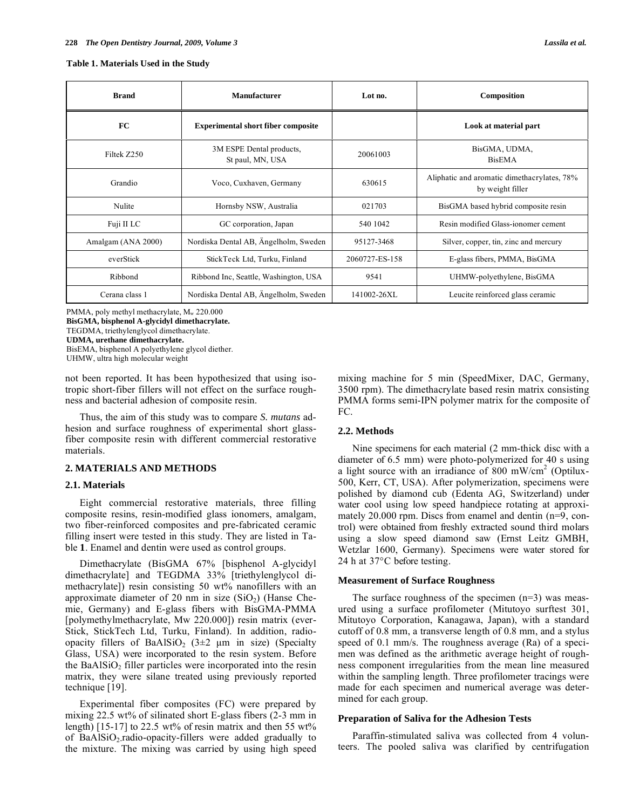| <b>Brand</b>       | <b>Manufacturer</b>                          | Lot no.          | Composition                                                     |
|--------------------|----------------------------------------------|------------------|-----------------------------------------------------------------|
| FC                 | <b>Experimental short fiber composite</b>    |                  | Look at material part                                           |
| Filtek Z250        | 3M ESPE Dental products,<br>St paul, MN, USA | 20061003         | BisGMA, UDMA,<br><b>BisEMA</b>                                  |
| Grandio            | Voco, Cuxhaven, Germany                      | 630615           | Aliphatic and aromatic dimethacrylates, 78%<br>by weight filler |
| Nulite             | Hornsby NSW, Australia                       | 021703           | BisGMA based hybrid composite resin                             |
| Fuji II LC         | GC corporation, Japan                        | 540 1042         | Resin modified Glass-ionomer cement                             |
| Amalgam (ANA 2000) | Nordiska Dental AB, Ängelholm, Sweden        | 95127-3468       | Silver, copper, tin, zinc and mercury                           |
| everStick          | StickTeck Ltd, Turku, Finland                | 2060727-ES-158   | E-glass fibers, PMMA, BisGMA                                    |
| Ribbond            | Ribbond Inc, Seattle, Washington, USA        | 9541             | UHMW-polyethylene, BisGMA                                       |
| Cerana class 1     | Nordiska Dental AB, Ängelholm, Sweden        | $141002 - 26X$ L | Leucite reinforced glass ceramic                                |

PMMA, poly methyl methacrylate,  $M_w$  220.000 **BisGMA, bisphenol A-glycidyl dimethacrylate.**  TEGDMA, triethylenglycol dimethacrylate. **UDMA, urethane dimethacrylate.**  BisEMA, bisphenol A polyethylene glycol diether. UHMW, ultra high molecular weight

not been reported. It has been hypothesized that using isotropic short-fiber fillers will not effect on the surface roughness and bacterial adhesion of composite resin.

Thus, the aim of this study was to compare *S. mutans* adhesion and surface roughness of experimental short glassfiber composite resin with different commercial restorative materials.

# **2. MATERIALS AND METHODS**

#### **2.1. Materials**

Eight commercial restorative materials, three filling composite resins, resin-modified glass ionomers, amalgam, two fiber-reinforced composites and pre-fabricated ceramic filling insert were tested in this study. They are listed in Table **1**. Enamel and dentin were used as control groups.

Dimethacrylate (BisGMA 67% [bisphenol A-glycidyl dimethacrylate] and TEGDMA 33% [triethylenglycol dimethacrylate]) resin consisting 50 wt% nanofillers with an approximate diameter of 20 nm in size  $(SiO<sub>2</sub>)$  (Hanse Chemie, Germany) and E-glass fibers with BisGMA-PMMA [polymethylmethacrylate, Mw 220.000]) resin matrix (ever-Stick, StickTech Ltd, Turku, Finland). In addition, radioopacity fillers of BaAlSiO<sub>2</sub> (3 $\pm$ 2 μm in size) (Specialty Glass, USA) were incorporated to the resin system. Before the BaAlSiO<sub>2</sub> filler particles were incorporated into the resin matrix, they were silane treated using previously reported technique [19].

Experimental fiber composites (FC) were prepared by mixing 22.5 wt% of silinated short E-glass fibers (2-3 mm in length) [15-17] to 22.5 wt% of resin matrix and then 55 wt% of BaAlSiO<sub>2</sub>-radio-opacity-fillers were added gradually to the mixture. The mixing was carried by using high speed mixing machine for 5 min (SpeedMixer, DAC, Germany, 3500 rpm). The dimethacrylate based resin matrix consisting PMMA forms semi-IPN polymer matrix for the composite of FC.

#### **2.2. Methods**

Nine specimens for each material (2 mm-thick disc with a diameter of 6.5 mm) were photo-polymerized for 40 s using a light source with an irradiance of 800 mW/cm<sup>2</sup> (Optilux-500, Kerr, CT, USA). After polymerization, specimens were polished by diamond cub (Edenta AG, Switzerland) under water cool using low speed handpiece rotating at approximately 20.000 rpm. Discs from enamel and dentin (n=9, control) were obtained from freshly extracted sound third molars using a slow speed diamond saw (Ernst Leitz GMBH, Wetzlar 1600, Germany). Specimens were water stored for 24 h at 37°C before testing.

#### **Measurement of Surface Roughness**

The surface roughness of the specimen  $(n=3)$  was measured using a surface profilometer (Mitutoyo surftest 301, Mitutoyo Corporation, Kanagawa, Japan), with a standard cutoff of 0.8 mm, a transverse length of 0.8 mm, and a stylus speed of 0.1 mm/s. The roughness average (Ra) of a specimen was defined as the arithmetic average height of roughness component irregularities from the mean line measured within the sampling length. Three profilometer tracings were made for each specimen and numerical average was determined for each group.

#### **Preparation of Saliva for the Adhesion Tests**

Paraffin-stimulated saliva was collected from 4 volunteers. The pooled saliva was clarified by centrifugation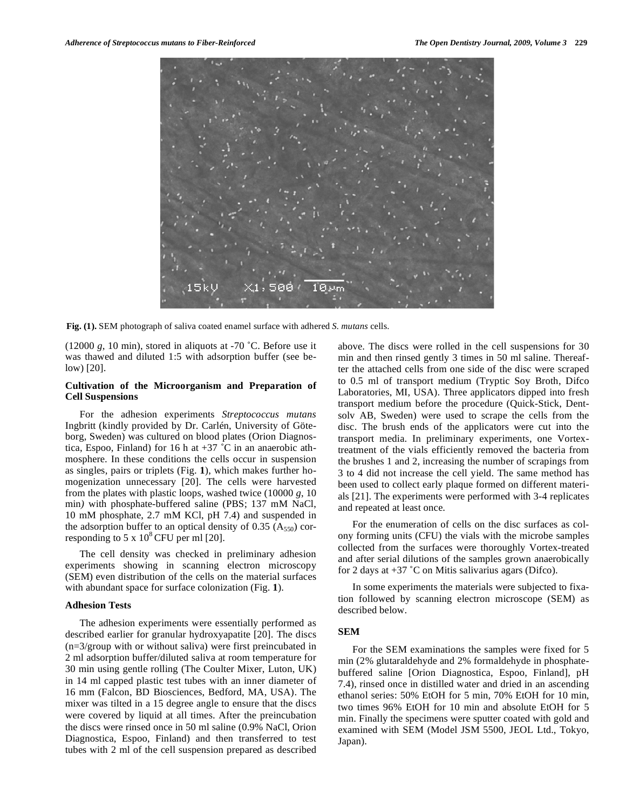

**Fig. (1).** SEM photograph of saliva coated enamel surface with adhered *S. mutans* cells.

(12000 *g*, 10 min), stored in aliquots at -70 ˚C. Before use it was thawed and diluted 1:5 with adsorption buffer (see below) [20].

## **Cultivation of the Microorganism and Preparation of Cell Suspensions**

For the adhesion experiments *Streptococcus mutans*  Ingbritt (kindly provided by Dr. Carlén, University of Göteborg, Sweden) was cultured on blood plates (Orion Diagnostica, Espoo, Finland) for 16 h at  $+37$  °C in an anaerobic athmosphere. In these conditions the cells occur in suspension as singles, pairs or triplets (Fig. **1**), which makes further homogenization unnecessary [20]. The cells were harvested from the plates with plastic loops, washed twice (10000 *g*, 10 min*)* with phosphate-buffered saline (PBS; 137 mM NaCl, 10 mM phosphate, 2.7 mM KCl, pH 7.4) and suspended in the adsorption buffer to an optical density of  $0.35$  (A<sub>550</sub>) corresponding to 5 x  $10^8$  CFU per ml [20].

The cell density was checked in preliminary adhesion experiments showing in scanning electron microscopy (SEM) even distribution of the cells on the material surfaces with abundant space for surface colonization (Fig. **1**).

#### **Adhesion Tests**

The adhesion experiments were essentially performed as described earlier for granular hydroxyapatite [20]. The discs (n=3/group with or without saliva) were first preincubated in 2 ml adsorption buffer/diluted saliva at room temperature for 30 min using gentle rolling (The Coulter Mixer, Luton, UK) in 14 ml capped plastic test tubes with an inner diameter of 16 mm (Falcon, BD Biosciences, Bedford, MA, USA). The mixer was tilted in a 15 degree angle to ensure that the discs were covered by liquid at all times. After the preincubation the discs were rinsed once in 50 ml saline (0.9% NaCl, Orion Diagnostica, Espoo, Finland) and then transferred to test tubes with 2 ml of the cell suspension prepared as described above. The discs were rolled in the cell suspensions for 30 min and then rinsed gently 3 times in 50 ml saline. Thereafter the attached cells from one side of the disc were scraped to 0.5 ml of transport medium (Tryptic Soy Broth, Difco Laboratories, MI, USA). Three applicators dipped into fresh transport medium before the procedure (Quick-Stick, Dentsolv AB, Sweden) were used to scrape the cells from the disc. The brush ends of the applicators were cut into the transport media. In preliminary experiments, one Vortextreatment of the vials efficiently removed the bacteria from the brushes 1 and 2, increasing the number of scrapings from 3 to 4 did not increase the cell yield. The same method has been used to collect early plaque formed on different materials [21]. The experiments were performed with 3-4 replicates and repeated at least once.

For the enumeration of cells on the disc surfaces as colony forming units (CFU) the vials with the microbe samples collected from the surfaces were thoroughly Vortex-treated and after serial dilutions of the samples grown anaerobically for 2 days at  $+37$  °C on Mitis salivarius agars (Difco).

In some experiments the materials were subjected to fixation followed by scanning electron microscope (SEM) as described below.

### **SEM**

For the SEM examinations the samples were fixed for 5 min (2% glutaraldehyde and 2% formaldehyde in phosphatebuffered saline [Orion Diagnostica, Espoo, Finland], pH 7.4), rinsed once in distilled water and dried in an ascending ethanol series: 50% EtOH for 5 min, 70% EtOH for 10 min, two times 96% EtOH for 10 min and absolute EtOH for 5 min. Finally the specimens were sputter coated with gold and examined with SEM (Model JSM 5500, JEOL Ltd., Tokyo, Japan).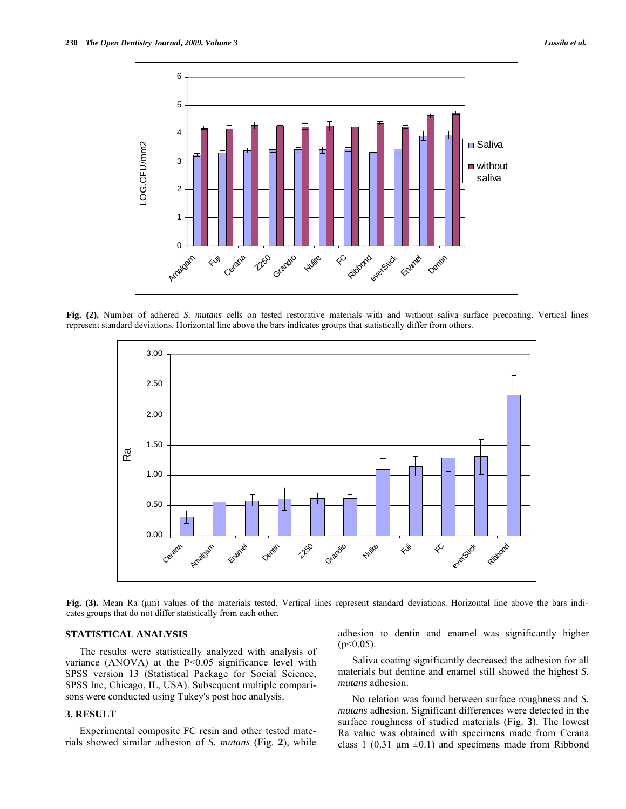

**Fig. (2).** Number of adhered *S. mutans* cells on tested restorative materials with and without saliva surface precoating. Vertical lines represent standard deviations. Horizontal line above the bars indicates groups that statistically differ from others.



**Fig. (3).** Mean Ra (μm) values of the materials tested. Vertical lines represent standard deviations. Horizontal line above the bars indicates groups that do not differ statistically from each other.

## **STATISTICAL ANALYSIS**

The results were statistically analyzed with analysis of variance (ANOVA) at the P<0.05 significance level with SPSS version 13 (Statistical Package for Social Science, SPSS Inc, Chicago, IL, USA). Subsequent multiple comparisons were conducted using Tukey's post hoc analysis.

## **3. RESULT**

Experimental composite FC resin and other tested materials showed similar adhesion of *S. mutans* (Fig. **2**), while adhesion to dentin and enamel was significantly higher  $(p<0.05)$ .

Saliva coating significantly decreased the adhesion for all materials but dentine and enamel still showed the highest *S. mutans* adhesion.

No relation was found between surface roughness and *S. mutans* adhesion. Significant differences were detected in the surface roughness of studied materials (Fig. **3**). The lowest Ra value was obtained with specimens made from Cerana class 1 (0.31  $\mu$ m  $\pm$ 0.1) and specimens made from Ribbond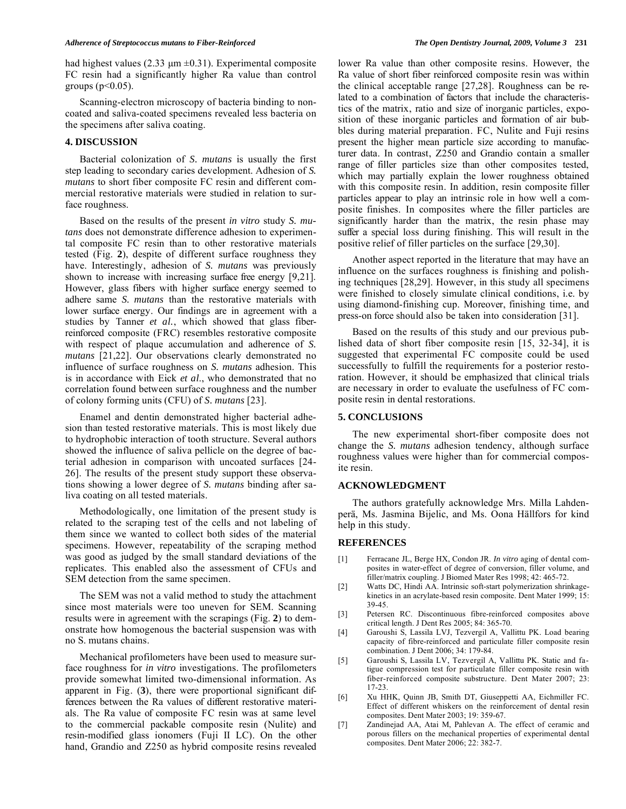had highest values (2.33  $\mu$ m  $\pm$ 0.31). Experimental composite FC resin had a significantly higher Ra value than control groups  $(p<0.05)$ .

Scanning-electron microscopy of bacteria binding to noncoated and saliva-coated specimens revealed less bacteria on the specimens after saliva coating.

### **4. DISCUSSION**

Bacterial colonization of *S. mutans* is usually the first step leading to secondary caries development. Adhesion of *S. mutans* to short fiber composite FC resin and different commercial restorative materials were studied in relation to surface roughness.

Based on the results of the present *in vitro* study *S. mutans* does not demonstrate difference adhesion to experimental composite FC resin than to other restorative materials tested (Fig. **2**), despite of different surface roughness they have. Interestingly, adhesion of *S. mutans* was previously shown to increase with increasing surface free energy [9,21]. However, glass fibers with higher surface energy seemed to adhere same *S. mutans* than the restorative materials with lower surface energy. Our findings are in agreement with a studies by Tanner *et al.*, which showed that glass fiberreinforced composite (FRC) resembles restorative composite with respect of plaque accumulation and adherence of *S. mutans* [21,22]. Our observations clearly demonstrated no influence of surface roughness on *S. mutans* adhesion. This is in accordance with Eick *et al*., who demonstrated that no correlation found between surface roughness and the number of colony forming units (CFU) of *S. mutans* [23].

Enamel and dentin demonstrated higher bacterial adhesion than tested restorative materials. This is most likely due to hydrophobic interaction of tooth structure. Several authors showed the influence of saliva pellicle on the degree of bacterial adhesion in comparison with uncoated surfaces [24- 26]. The results of the present study support these observations showing a lower degree of *S. mutans* binding after saliva coating on all tested materials.

Methodologically, one limitation of the present study is related to the scraping test of the cells and not labeling of them since we wanted to collect both sides of the material specimens. However, repeatability of the scraping method was good as judged by the small standard deviations of the replicates. This enabled also the assessment of CFUs and SEM detection from the same specimen.

The SEM was not a valid method to study the attachment since most materials were too uneven for SEM. Scanning results were in agreement with the scrapings (Fig. **2**) to demonstrate how homogenous the bacterial suspension was with no S. mutans chains.

Mechanical profilometers have been used to measure surface roughness for *in vitro* investigations. The profilometers provide somewhat limited two-dimensional information. As apparent in Fig. (**3**), there were proportional significant differences between the Ra values of different restorative materials. The Ra value of composite FC resin was at same level to the commercial packable composite resin (Nulite) and resin-modified glass ionomers (Fuji II LC). On the other hand, Grandio and Z250 as hybrid composite resins revealed lower Ra value than other composite resins. However, the Ra value of short fiber reinforced composite resin was within the clinical acceptable range [27,28]. Roughness can be related to a combination of factors that include the characteristics of the matrix, ratio and size of inorganic particles, exposition of these inorganic particles and formation of air bubbles during material preparation. FC, Nulite and Fuji resins present the higher mean particle size according to manufacturer data. In contrast, Z250 and Grandio contain a smaller range of filler particles size than other composites tested, which may partially explain the lower roughness obtained with this composite resin. In addition, resin composite filler particles appear to play an intrinsic role in how well a composite finishes. In composites where the filler particles are significantly harder than the matrix, the resin phase may suffer a special loss during finishing. This will result in the positive relief of filler particles on the surface [29,30].

Another aspect reported in the literature that may have an influence on the surfaces roughness is finishing and polishing techniques [28,29]. However, in this study all specimens were finished to closely simulate clinical conditions, i.e. by using diamond-finishing cup. Moreover, finishing time, and press-on force should also be taken into consideration [31].

Based on the results of this study and our previous published data of short fiber composite resin [15, 32-34], it is suggested that experimental FC composite could be used successfully to fulfill the requirements for a posterior restoration. However, it should be emphasized that clinical trials are necessary in order to evaluate the usefulness of FC composite resin in dental restorations.

#### **5. CONCLUSIONS**

The new experimental short-fiber composite does not change the *S. mutans* adhesion tendency, although surface roughness values were higher than for commercial composite resin.

#### **ACKNOWLEDGMENT**

The authors gratefully acknowledge Mrs. Milla Lahdenperä, Ms. Jasmina Bijelic, and Ms. Oona Hällfors for kind help in this study.

### **REFERENCES**

- [1] Ferracane JL, Berge HX, Condon JR. *In vitro* aging of dental composites in water-effect of degree of conversion, filler volume, and filler/matrix coupling. J Biomed Mater Res 1998; 42: 465-72.
- [2] Watts DC, Hindi AA. Intrinsic soft-start polymerization shrinkagekinetics in an acrylate-based resin composite. Dent Mater 1999; 15: 39-45.
- [3] Petersen RC. Discontinuous fibre-reinforced composites above critical length. J Dent Res 2005; 84: 365-70.
- [4] Garoushi S, Lassila LVJ, Tezvergil A, Vallittu PK. Load bearing capacity of fibre-reinforced and particulate filler composite resin combination. J Dent 2006; 34: 179-84.
- [5] Garoushi S, Lassila LV, Tezvergil A, Vallittu PK. Static and fatigue compression test for particulate filler composite resin with fiber-reinforced composite substructure. Dent Mater 2007; 23: 17-23.
- [6] Xu HHK, Quinn JB, Smith DT, Giuseppetti AA, Eichmiller FC. Effect of different whiskers on the reinforcement of dental resin composites. Dent Mater 2003; 19: 359-67.
- [7] Zandinejad AA, Atai M, Pahlevan A. The effect of ceramic and porous fillers on the mechanical properties of experimental dental composites. Dent Mater 2006; 22: 382-7.